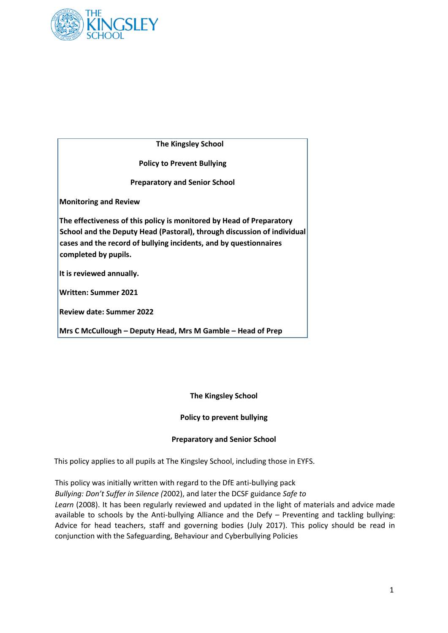

The **The Kingsley School**

**Policy to Prevent Bullying**

**Preparatory and Senior School**

**Monitoring and Review** 

**The effectiveness of this policy is monitored by Head of Preparatory School and the Deputy Head (Pastoral), through discussion of individual cases and the record of bullying incidents, and by questionnaires completed by pupils.** 

**It is reviewed annually.** 

**Written: Summer 2021** 

**Review date: Summer 2022** 

**Mrs C McCullough – Deputy Head, Mrs M Gamble – Head of Prep** 

#### **The Kingsley School**

#### **Policy to prevent bullying**

#### **Preparatory and Senior School**

This policy applies to all pupils at The Kingsley School, including those in EYFS.

This policy was initially written with regard to the DfE anti-bullying pack *Bullying: Don't Suffer in Silence (*2002), and later the DCSF guidance *Safe to* Learn (2008). It has been regularly reviewed and updated in the light of materials and advice made available to schools by the Anti-bullying Alliance and the Defy – Preventing and tackling bullying: Advice for head teachers, staff and governing bodies (July 2017). This policy should be read in conjunction with the Safeguarding, Behaviour and Cyberbullying Policies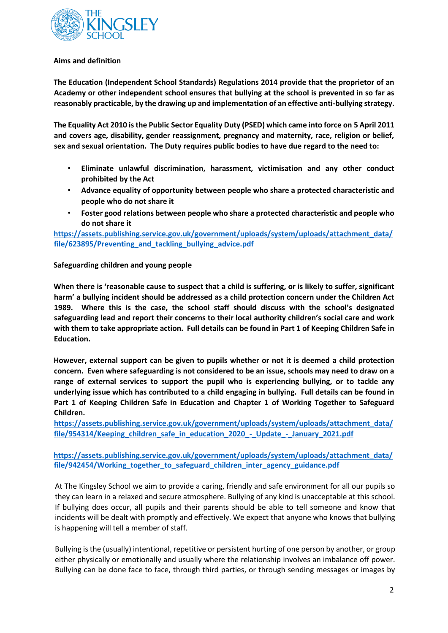

### **Aims and definition**

**The Education (Independent School Standards) Regulations 2014 provide that the proprietor of an Academy or other independent school ensures that bullying at the school is prevented in so far as reasonably practicable, by the drawing up and implementation of an effective anti-bullying strategy.** 

**The Equality Act 2010 is the Public Sector Equality Duty (PSED) which came into force on 5 April 2011 and covers age, disability, gender reassignment, pregnancy and maternity, race, religion or belief, sex and sexual orientation. The Duty requires public bodies to have due regard to the need to:** 

- **Eliminate unlawful discrimination, harassment, victimisation and any other conduct prohibited by the Act**
- **Advance equality of opportunity between people who share a protected characteristic and people who do not share it**
- **Foster good relations between people who share a protected characteristic and people who do not share it**

**[https://assets.publishing.service.gov.uk/government/uploads/system/uploads/attachment\\_data/](https://assets.publishing.service.gov.uk/government/uploads/system/uploads/attachment_data/file/623895/Preventing_and_tackling_bullying_advice.pdf)  [file/623895/Preventing\\_and\\_tackling\\_bullying\\_advice.pdf](https://assets.publishing.service.gov.uk/government/uploads/system/uploads/attachment_data/file/623895/Preventing_and_tackling_bullying_advice.pdf)**

**Safeguarding children and young people** 

**When there is 'reasonable cause to suspect that a child is suffering, or is likely to suffer, significant harm' a bullying incident should be addressed as a child protection concern under the Children Act 1989. Where this is the case, the school staff should discuss with the school's designated safeguarding lead and report their concerns to their local authority children's social care and work with them to take appropriate action. Full details can be found in Part 1 of Keeping Children Safe in Education.** 

**However, external support can be given to pupils whether or not it is deemed a child protection concern. Even where safeguarding is not considered to be an issue, schools may need to draw on a range of external services to support the pupil who is experiencing bullying, or to tackle any underlying issue which has contributed to a child engaging in bullying. Full details can be found in Part 1 of Keeping Children Safe in Education and Chapter 1 of Working Together to Safeguard Children.** 

**[https://assets.publishing.service.gov.uk/government/uploads/system/uploads/attachment\\_data/](https://assets.publishing.service.gov.uk/government/uploads/system/uploads/attachment_data/file/954314/Keeping_children_safe_in_education_2020_-_Update_-_January_2021.pdf)  [file/954314/Keeping\\_children\\_safe\\_in\\_education\\_2020\\_-\\_Update\\_-\\_January\\_2021.pdf](https://assets.publishing.service.gov.uk/government/uploads/system/uploads/attachment_data/file/954314/Keeping_children_safe_in_education_2020_-_Update_-_January_2021.pdf)**

**[https://assets.publishing.service.gov.uk/government/uploads/system/uploads/attachment\\_data/](https://assets.publishing.service.gov.uk/government/uploads/system/uploads/attachment_data/file/942454/Working_together_to_safeguard_children_inter_agency_guidance.pdf)  [file/942454/Working\\_together\\_to\\_safeguard\\_children\\_inter\\_agency\\_guidance.pdf](https://assets.publishing.service.gov.uk/government/uploads/system/uploads/attachment_data/file/942454/Working_together_to_safeguard_children_inter_agency_guidance.pdf)** 

At The Kingsley School we aim to provide a caring, friendly and safe environment for all our pupils so they can learn in a relaxed and secure atmosphere. Bullying of any kind is unacceptable at this school. If bullying does occur, all pupils and their parents should be able to tell someone and know that incidents will be dealt with promptly and effectively. We expect that anyone who knows that bullying is happening will tell a member of staff.

Bullying is the (usually) intentional, repetitive or persistent hurting of one person by another, or group either physically or emotionally and usually where the relationship involves an imbalance off power. Bullying can be done face to face, through third parties, or through sending messages or images by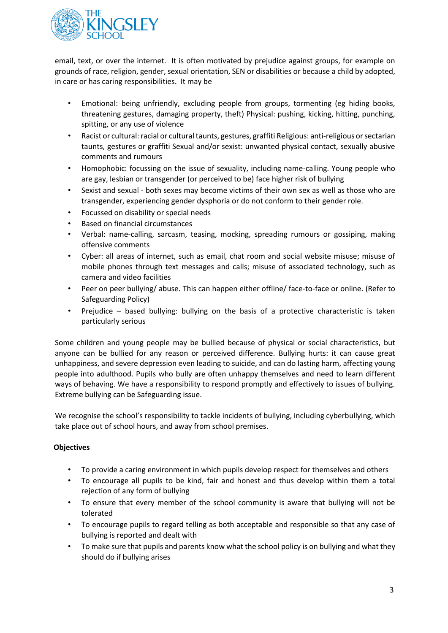

email, text, or over the internet. It is often motivated by prejudice against groups, for example on grounds of race, religion, gender, sexual orientation, SEN or disabilities or because a child by adopted, in care or has caring responsibilities. It may be

- Emotional: being unfriendly, excluding people from groups, tormenting (eg hiding books, threatening gestures, damaging property, theft) Physical: pushing, kicking, hitting, punching, spitting, or any use of violence
- Racist or cultural: racial or cultural taunts, gestures, graffiti Religious: anti-religious or sectarian taunts, gestures or graffiti Sexual and/or sexist: unwanted physical contact, sexually abusive comments and rumours
- Homophobic: focussing on the issue of sexuality, including name-calling. Young people who are gay, lesbian or transgender (or perceived to be) face higher risk of bullying
- Sexist and sexual both sexes may become victims of their own sex as well as those who are transgender, experiencing gender dysphoria or do not conform to their gender role.
- Focussed on disability or special needs
- Based on financial circumstances
- Verbal: name-calling, sarcasm, teasing, mocking, spreading rumours or gossiping, making offensive comments
- Cyber: all areas of internet, such as email, chat room and social website misuse; misuse of mobile phones through text messages and calls; misuse of associated technology, such as camera and video facilities
- Peer on peer bullying/ abuse. This can happen either offline/ face-to-face or online. (Refer to Safeguarding Policy)
- Prejudice based bullying: bullying on the basis of a protective characteristic is taken particularly serious

Some children and young people may be bullied because of physical or social characteristics, but anyone can be bullied for any reason or perceived difference. Bullying hurts: it can cause great unhappiness, and severe depression even leading to suicide, and can do lasting harm, affecting young people into adulthood. Pupils who bully are often unhappy themselves and need to learn different ways of behaving. We have a responsibility to respond promptly and effectively to issues of bullying. Extreme bullying can be Safeguarding issue.

We recognise the school's responsibility to tackle incidents of bullying, including cyberbullying, which take place out of school hours, and away from school premises.

# **Objectives**

- To provide a caring environment in which pupils develop respect for themselves and others
- To encourage all pupils to be kind, fair and honest and thus develop within them a total rejection of any form of bullying
- To ensure that every member of the school community is aware that bullying will not be tolerated
- To encourage pupils to regard telling as both acceptable and responsible so that any case of bullying is reported and dealt with
- To make sure that pupils and parents know what the school policy is on bullying and what they should do if bullying arises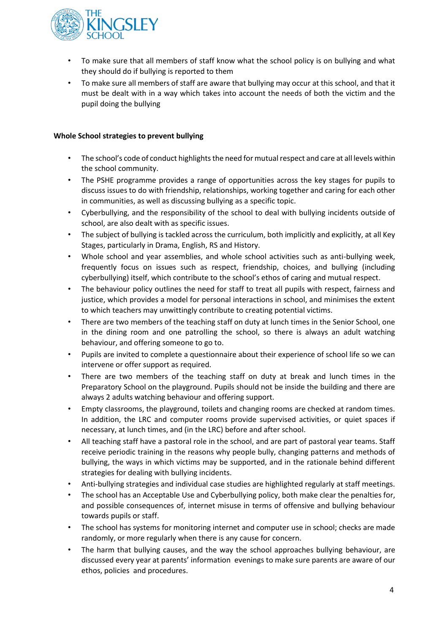

- To make sure that all members of staff know what the school policy is on bullying and what they should do if bullying is reported to them
- To make sure all members of staff are aware that bullying may occur at this school, and that it must be dealt with in a way which takes into account the needs of both the victim and the pupil doing the bullying

## **Whole School strategies to prevent bullying**

- The school's code of conduct highlights the need for mutual respect and care at all levels within the school community.
- The PSHE programme provides a range of opportunities across the key stages for pupils to discuss issues to do with friendship, relationships, working together and caring for each other in communities, as well as discussing bullying as a specific topic.
- Cyberbullying, and the responsibility of the school to deal with bullying incidents outside of school, are also dealt with as specific issues.
- The subject of bullying is tackled across the curriculum, both implicitly and explicitly, at all Key Stages, particularly in Drama, English, RS and History.
- Whole school and year assemblies, and whole school activities such as anti-bullying week, frequently focus on issues such as respect, friendship, choices, and bullying (including cyberbullying) itself, which contribute to the school's ethos of caring and mutual respect.
- The behaviour policy outlines the need for staff to treat all pupils with respect, fairness and justice, which provides a model for personal interactions in school, and minimises the extent to which teachers may unwittingly contribute to creating potential victims.
- There are two members of the teaching staff on duty at lunch times in the Senior School, one in the dining room and one patrolling the school, so there is always an adult watching behaviour, and offering someone to go to.
- Pupils are invited to complete a questionnaire about their experience of school life so we can intervene or offer support as required.
- There are two members of the teaching staff on duty at break and lunch times in the Preparatory School on the playground. Pupils should not be inside the building and there are always 2 adults watching behaviour and offering support.
- Empty classrooms, the playground, toilets and changing rooms are checked at random times. In addition, the LRC and computer rooms provide supervised activities, or quiet spaces if necessary, at lunch times, and (in the LRC) before and after school.
- All teaching staff have a pastoral role in the school, and are part of pastoral year teams. Staff receive periodic training in the reasons why people bully, changing patterns and methods of bullying, the ways in which victims may be supported, and in the rationale behind different strategies for dealing with bullying incidents.
- Anti-bullying strategies and individual case studies are highlighted regularly at staff meetings.
- The school has an Acceptable Use and Cyberbullying policy, both make clear the penalties for, and possible consequences of, internet misuse in terms of offensive and bullying behaviour towards pupils or staff.
- The school has systems for monitoring internet and computer use in school; checks are made randomly, or more regularly when there is any cause for concern.
- The harm that bullying causes, and the way the school approaches bullying behaviour, are discussed every year at parents' information evenings to make sure parents are aware of our ethos, policies and procedures.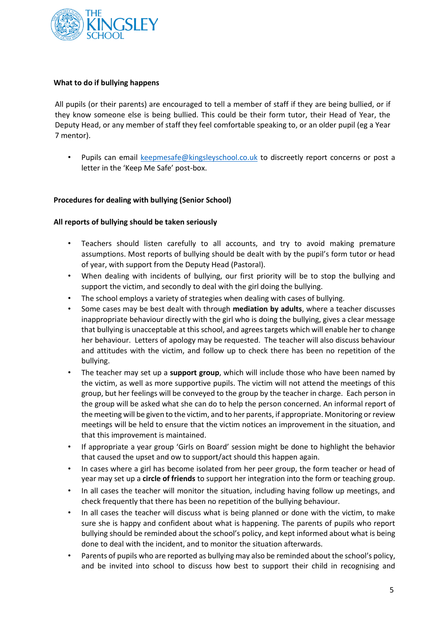

### **What to do if bullying happens**

All pupils (or their parents) are encouraged to tell a member of staff if they are being bullied, or if they know someone else is being bullied. This could be their form tutor, their Head of Year, the Deputy Head, or any member of staff they feel comfortable speaking to, or an older pupil (eg a Year 7 mentor).

• Pupils can email keepmesafe@kingsleyschool.co.uk to discreetly report concerns or post a letter in the 'Keep Me Safe' post-box.

### **Procedures for dealing with bullying (Senior School)**

#### **All reports of bullying should be taken seriously**

- Teachers should listen carefully to all accounts, and try to avoid making premature assumptions. Most reports of bullying should be dealt with by the pupil's form tutor or head of year, with support from the Deputy Head (Pastoral).
- When dealing with incidents of bullying, our first priority will be to stop the bullying and support the victim, and secondly to deal with the girl doing the bullying.
- The school employs a variety of strategies when dealing with cases of bullying.
- Some cases may be best dealt with through **mediation by adults**, where a teacher discusses inappropriate behaviour directly with the girl who is doing the bullying, gives a clear message that bullying is unacceptable at this school, and agrees targets which will enable her to change her behaviour. Letters of apology may be requested. The teacher will also discuss behaviour and attitudes with the victim, and follow up to check there has been no repetition of the bullying.
- The teacher may set up a **support group**, which will include those who have been named by the victim, as well as more supportive pupils. The victim will not attend the meetings of this group, but her feelings will be conveyed to the group by the teacher in charge. Each person in the group will be asked what she can do to help the person concerned. An informal report of the meeting will be given to the victim, and to her parents, if appropriate. Monitoring or review meetings will be held to ensure that the victim notices an improvement in the situation, and that this improvement is maintained.
- If appropriate a year group 'Girls on Board' session might be done to highlight the behavior that caused the upset and ow to support/act should this happen again.
- In cases where a girl has become isolated from her peer group, the form teacher or head of year may set up a **circle of friends** to support her integration into the form or teaching group.
- In all cases the teacher will monitor the situation, including having follow up meetings, and check frequently that there has been no repetition of the bullying behaviour.
- In all cases the teacher will discuss what is being planned or done with the victim, to make sure she is happy and confident about what is happening. The parents of pupils who report bullying should be reminded about the school's policy, and kept informed about what is being done to deal with the incident, and to monitor the situation afterwards.
- Parents of pupils who are reported as bullying may also be reminded about the school's policy, and be invited into school to discuss how best to support their child in recognising and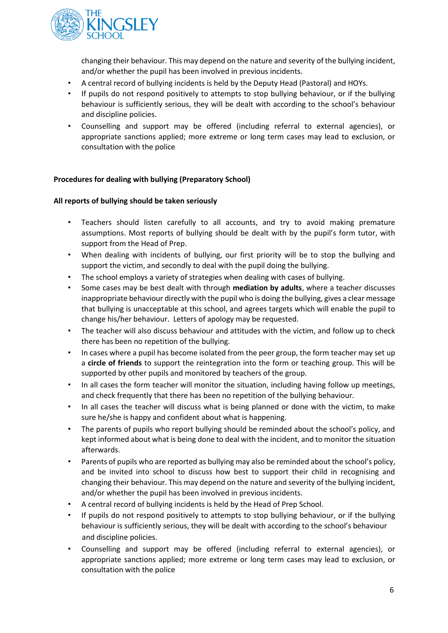

changing their behaviour. This may depend on the nature and severity of the bullying incident, and/or whether the pupil has been involved in previous incidents.

- A central record of bullying incidents is held by the Deputy Head (Pastoral) and HOYs.
- If pupils do not respond positively to attempts to stop bullying behaviour, or if the bullying behaviour is sufficiently serious, they will be dealt with according to the school's behaviour and discipline policies.
- Counselling and support may be offered (including referral to external agencies), or appropriate sanctions applied; more extreme or long term cases may lead to exclusion, or consultation with the police

# **Procedures for dealing with bullying (Preparatory School)**

### **All reports of bullying should be taken seriously**

- Teachers should listen carefully to all accounts, and try to avoid making premature assumptions. Most reports of bullying should be dealt with by the pupil's form tutor, with support from the Head of Prep.
- When dealing with incidents of bullying, our first priority will be to stop the bullying and support the victim, and secondly to deal with the pupil doing the bullying.
- The school employs a variety of strategies when dealing with cases of bullying.
- Some cases may be best dealt with through **mediation by adults**, where a teacher discusses inappropriate behaviour directly with the pupil who is doing the bullying, gives a clear message that bullying is unacceptable at this school, and agrees targets which will enable the pupil to change his/her behaviour. Letters of apology may be requested.
- The teacher will also discuss behaviour and attitudes with the victim, and follow up to check there has been no repetition of the bullying.
- In cases where a pupil has become isolated from the peer group, the form teacher may set up a **circle of friends** to support the reintegration into the form or teaching group. This will be supported by other pupils and monitored by teachers of the group.
- In all cases the form teacher will monitor the situation, including having follow up meetings, and check frequently that there has been no repetition of the bullying behaviour.
- In all cases the teacher will discuss what is being planned or done with the victim, to make sure he/she is happy and confident about what is happening.
- The parents of pupils who report bullying should be reminded about the school's policy, and kept informed about what is being done to deal with the incident, and to monitor the situation afterwards.
- Parents of pupils who are reported as bullying may also be reminded about the school's policy, and be invited into school to discuss how best to support their child in recognising and changing their behaviour. This may depend on the nature and severity of the bullying incident, and/or whether the pupil has been involved in previous incidents.
- A central record of bullying incidents is held by the Head of Prep School.
- If pupils do not respond positively to attempts to stop bullying behaviour, or if the bullying behaviour is sufficiently serious, they will be dealt with according to the school's behaviour and discipline policies.
- Counselling and support may be offered (including referral to external agencies), or appropriate sanctions applied; more extreme or long term cases may lead to exclusion, or consultation with the police